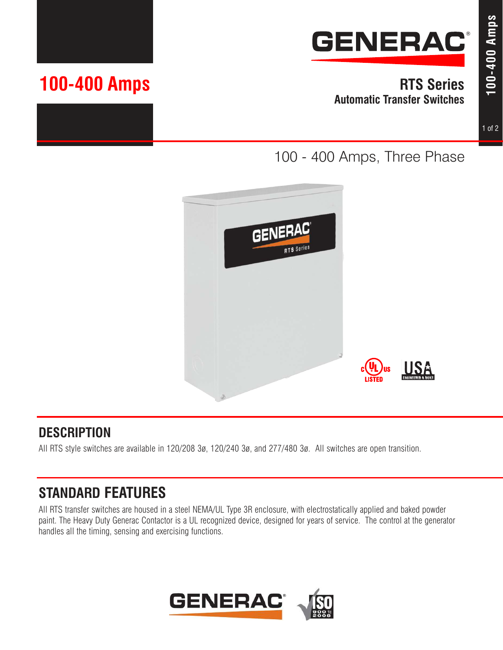

**RTS Series Automatic Transfer Switches**

#### 1 of 2

# **100-400 Amps**

100 - 400 Amps, Three Phase



## **DESCRIPTION**

All RTS style switches are available in 120/208 3ø, 120/240 3ø, and 277/480 3ø. All switches are open transition.

# **STANDARD FEATURES**

All RTS transfer switches are housed in a steel NEMA/UL Type 3R enclosure, with electrostatically applied and baked powder paint. The Heavy Duty Generac Contactor is a UL recognized device, designed for years of service. The control at the generator handles all the timing, sensing and exercising functions.